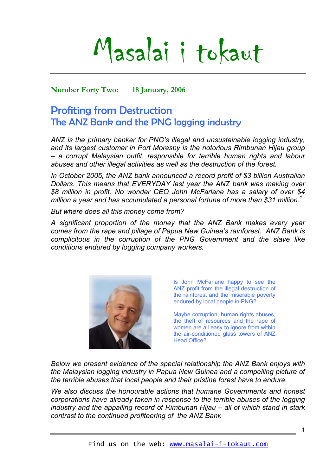Masalai i tokaut

**Number Forty Two: 18 January, 2006** 

# Profiting from Destruction The ANZ Bank and the PNG logging industry

*ANZ is the primary banker for PNG's illegal and unsustainable logging industry, and its largest customer in Port Moresby is the notorious Rimbunan Hijau group – a corrupt Malaysian outfit, responsible for terrible human rights and labour abuses and other illegal activities as well as the destruction of the forest.* 

*In October 2005, the ANZ bank announced a record profit of \$3 billion Australian Dollars. This means that EVERYDAY last year the ANZ bank was making over \$8 million in profit. No wonder CEO John McFarlane has a salary of over \$4 million a year and has accumulated a personal fortune of more than \$31 million.[1](#page-4-0)*

*But where does all this money come from?* 

*A significant proportion of the money that the ANZ Bank makes every year comes from the rape and pillage of Papua New Guinea's rainforest. ANZ Bank is complicitous in the corruption of the PNG Government and the slave like conditions endured by logging company workers.* 



Is John McFarlane happy to see the ANZ profit from the illegal destruction of the rainforest and the miserable poverty endured by local people in PNG?

Maybe corruption, human rights abuses, the theft of resources and the rape of women are all easy to ignore from within the air-conditioned glass towers of ANZ Head Office?

*Below we present evidence of the special relationship the ANZ Bank enjoys with the Malaysian logging industry in Papua New Guinea and a compelling picture of the terrible abuses that local people and their pristine forest have to endure.* 

*We also discuss the honourable actions that humane Governments and honest corporations have already taken in response to the terrible abuses of the logging industry and the appalling record of Rimbunan Hijau – all of which stand in stark contrast to the continued profiteering of the ANZ Bank*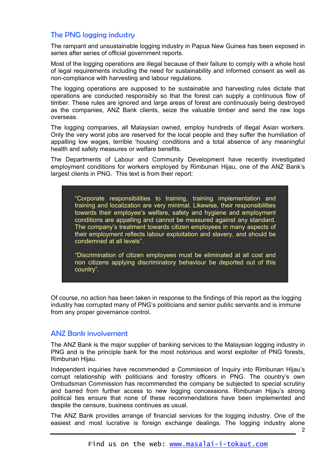## The PNG logging industry

The rampant and unsustainable logging industry in Papua New Guinea has been exposed in series after series of official government reports.

Most of the logging operations are illegal because of their failure to comply with a whole host of legal requirements including the need for sustainability and informed consent as well as non-compliance with harvesting and labour regulations.

The logging operations are supposed to be sustainable and harvesting rules dictate that operations are conducted responsibly so that the forest can supply a continuous flow of timber. These rules are ignored and large areas of forest are continuously being destroyed as the companies, ANZ Bank clients, seize the valuable timber and send the raw logs overseas.

The logging companies, all Malaysian owned, employ hundreds of illegal Asian workers. Only the very worst jobs are reserved for the local people and they suffer the humiliation of appalling low wages, terrible 'housing' conditions and a total absence of any meaningful health and safety measures or welfare benefits.

The Departments of Labour and Community Development have recently investigated employment conditions for workers employed by Rimbunan Hijau, one of the ANZ Bank's largest clients in PNG. This text is from their report:

"Corporate responsibilities to training, training implementation and training and localization are very minimal. Likewise, their responsibilities towards their employee's welfare, safety and hygiene and employment conditions are appalling and cannot be measured against any standard. The company's treatment towards citizen employees in many aspects of their employment reflects labour exploitation and slavery, and should be condemned at all levels".

"Discrimination of citizen employees must be eliminated at all cost and non citizens applying discriminatory behaviour be deported out of this country".

Of course, no action has been taken in response to the findings of this report as the logging industry has corrupted many of PNG's politicians and senior public servants and is immune from any proper governance control.

## ANZ Bank involvement

The ANZ Bank is the major supplier of banking services to the Malaysian logging industry in PNG and is the principle bank for the most notorious and worst exploiter of PNG forests, Rimbunan Hijau.

Independent inquiries have recommended a Commission of Inquiry into Rimbunan Hijau's corrupt relationship with politicians and forestry officers in PNG. The country's own Ombudsman Commission has recommended the company be subjected to special scrutiny and barred from further access to new logging concessions. Rimbunan Hijau's strong political ties ensure that none of these recommendations have been implemented and despite the censure, business continues as usual.

The ANZ Bank provides arrange of financial services for the logging industry. One of the easiest and most lucrative is foreign exchange dealings. The logging industry alone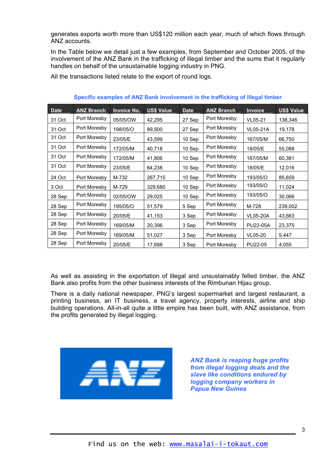generates exports worth more than US\$120 million each year, much of which flows through ANZ accounts.

In the Table below we detail just a few examples, from September and October 2005, of the involvement of the ANZ Bank in the trafficking of illegal timber and the sums that it regularly handles on behalf of the unsustainable logging industry in PNG.

All the transactions listed relate to the export of round logs.

| <b>Date</b> | <b>ANZ Branch</b> | <b>Invoice No.</b> | <b>US\$ Value</b> | <b>Date</b> | <b>ANZ Branch</b> | <b>Invoice</b>  | <b>US\$ Value</b> |
|-------------|-------------------|--------------------|-------------------|-------------|-------------------|-----------------|-------------------|
| 31 Oct      | Port Moresby      | 05/05/OW           | 42,295            | 27 Sep      | Port Moresby      | VL05-21         | 138,346           |
| 31 Oct      | Port Moresby      | 198/05/O           | 89,500            | 27 Sep      | Port Moresby      | <b>VL05-21A</b> | 19,178            |
| 31 Oct      | Port Moresby      | 23/05/E            | 43,599            | 10 Sep      | Port Moresby      | 167/05/M        | 66,750            |
| 31 Oct      | Port Moresby      | 172/05/M           | 40,718            | 10 Sep      | Port Moresby      | 18/05/E         | 55,088            |
| 31 Oct      | Port Moresby      | 172/05/M           | 41,806            | 10 Sep      | Port Moresby      | 167/05/M        | 60,381            |
| 31 Oct      | Port Moresby      | 23/05/E            | 64,238            | 10 Sep      | Port Moresby      | 18/05/E         | 12,016            |
| 24 Oct      | Port Moresby      | M-732              | 267,715           | 10 Sep      | Port Moresby      | 193/05/O        | 85,659            |
| 3 Oct       | Port Moresby      | M-729              | 329,680           | 10 Sep      | Port Moresby      | 193/05/O        | 11,024            |
| 28 Sep      | Port Moresby      | 02/05/OW           | 29,025            | 10 Sep      | Port Moresby      | 193/05/O        | 30,066            |
| 28 Sep      | Port Moresby      | 195/05/O           | 51,579            | 5 Sep       | Port Moresby      | M-728           | 239,002           |
| 28 Sep      | Port Moresby      | 20/05/E            | 41,153            | 3 Sep       | Port Moresby      | <b>VL05-20A</b> | 43,663            |
| 28 Sep      | Port Moresby      | 169/05/M           | 20,396            | 3 Sep       | Port Moresby      | <b>PU22-05A</b> | 23,375            |
| 28 Sep      | Port Moresby      | 169/05/M           | 51,027            | 3 Sep       | Port Moresby      | VL05-20         | 5,447             |
| 28 Sep      | Port Moresby      | 20/05/E            | 17,688            | 3 Sep       | Port Moresby      | PU22-05         | 4,055             |

**Specific examples of ANZ Bank involvement in the trafficking of illegal timber**

As well as assisting in the exportation of illegal and unsustainably felled timber, the ANZ Bank also profits from the other business interests of the Rimbunan Hijau group.

There is a daily national newspaper, PNG's largest supermarket and largest restaurant, a printing business, an IT business, a travel agency, property interests, airline and ship building operations. All-in-all quite a little empire has been built, with ANZ assistance, from the profits generated by illegal logging.



*ANZ Bank is reaping huge profits from illegal logging deals and the slave like conditions endured by logging company workers in Papua New Guinea*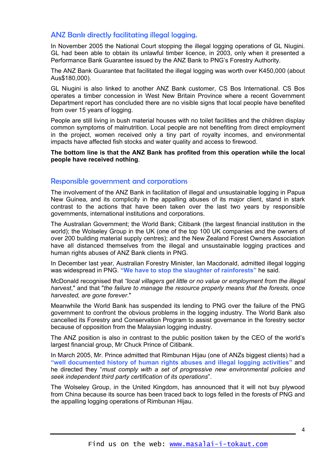#### ANZ Bank directly facilitating illegal logging.

In November 2005 the National Court stopping the illegal logging operations of GL Niugini. GL had been able to obtain its unlawful timber licence, in 2003, only when it presented a Performance Bank Guarantee issued by the ANZ Bank to PNG's Forestry Authority.

The ANZ Bank Guarantee that facilitated the illegal logging was worth over K450,000 (about Aus\$180,000).

GL Niugini is also linked to another ANZ Bank customer, CS Bos International. CS Bos operates a timber concession in West New Britain Province where a recent Government Department report has concluded there are no visible signs that local people have benefited from over 15 years of logging.

People are still living in bush material houses with no toilet facilities and the children display common symptoms of malnutrition. Local people are not benefiting from direct employment in the project, women received only a tiny part of royalty incomes, and environmental impacts have affected fish stocks and water quality and access to firewood.

**The bottom line is that the ANZ Bank has profited from this operation while the local people have received nothing**.

#### Responsible government and corporations

The involvement of the ANZ Bank in facilitation of illegal and unsustainable logging in Papua New Guinea, and its complicity in the appalling abuses of its major client, stand in stark contrast to the actions that have been taken over the last two years by responsible governments, international institutions and corporations.

The Australian Government; the World Bank; Citibank (the largest financial institution in the world); the Wolseley Group in the UK (one of the top 100 UK companies and the owners of over 200 building material supply centres); and the New Zealand Forest Owners Association have all distanced themselves from the illegal and unsustainable logging practices and human rights abuses of ANZ Bank clients in PNG.

In December last year, Australian Forestry Minister, Ian Macdonald, admitted illegal logging was widespread in PNG. **"We have to stop the slaughter of rainforests"** he said.

McDonald recognised that *"local villagers get little or no value or employment from the illegal harvest*," and that "*the failure to manage the resource properly means that the forests, once harvested, are gone forever*."

Meanwhile the World Bank has suspended its lending to PNG over the failure of the PNG government to confront the obvious problems in the logging industry. The World Bank also cancelled its Forestry and Conservation Program to assist governance in the forestry sector because of opposition from the Malaysian logging industry.

The ANZ position is also in contrast to the public position taken by the CEO of the world's largest financial group, Mr Chuck Prince of Citibank.

In March 2005, Mr. Prince admitted that Rimbunan Hijau (one of ANZs biggest clients) had a **"well documented history of human rights abuses and illegal logging activities"** and he directed they "*must comply with a set of progressive new environmental policies and seek independent third party certification of its operations*".

The Wolseley Group, in the United Kingdom, has announced that it will not buy plywood from China because its source has been traced back to logs felled in the forests of PNG and the appalling logging operations of Rimbunan Hijau.